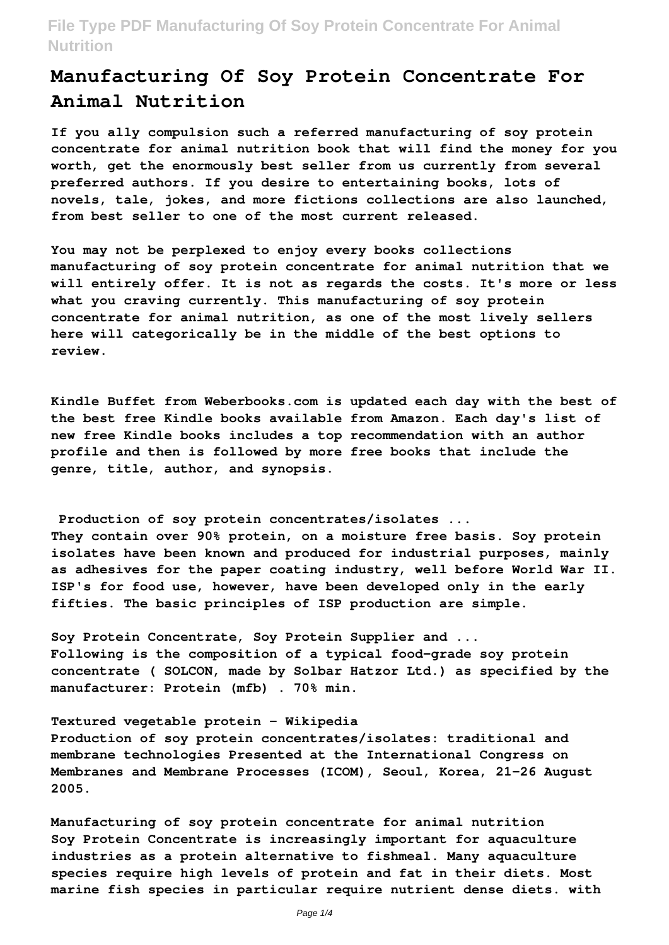# **Manufacturing Of Soy Protein Concentrate For Animal Nutrition**

**If you ally compulsion such a referred manufacturing of soy protein concentrate for animal nutrition book that will find the money for you worth, get the enormously best seller from us currently from several preferred authors. If you desire to entertaining books, lots of novels, tale, jokes, and more fictions collections are also launched, from best seller to one of the most current released.**

**You may not be perplexed to enjoy every books collections manufacturing of soy protein concentrate for animal nutrition that we will entirely offer. It is not as regards the costs. It's more or less what you craving currently. This manufacturing of soy protein concentrate for animal nutrition, as one of the most lively sellers here will categorically be in the middle of the best options to review.**

**Kindle Buffet from Weberbooks.com is updated each day with the best of the best free Kindle books available from Amazon. Each day's list of new free Kindle books includes a top recommendation with an author profile and then is followed by more free books that include the genre, title, author, and synopsis.**

**Production of soy protein concentrates/isolates ... They contain over 90% protein, on a moisture free basis. Soy protein isolates have been known and produced for industrial purposes, mainly as adhesives for the paper coating industry, well before World War II. ISP's for food use, however, have been developed only in the early fifties. The basic principles of ISP production are simple.**

**Soy Protein Concentrate, Soy Protein Supplier and ... Following is the composition of a typical food-grade soy protein concentrate ( SOLCON, made by Solbar Hatzor Ltd.) as specified by the manufacturer: Protein (mfb) . 70% min.**

**Textured vegetable protein - Wikipedia**

**Production of soy protein concentrates/isolates: traditional and membrane technologies Presented at the International Congress on Membranes and Membrane Processes (ICOM), Seoul, Korea, 21–26 August 2005.**

**Manufacturing of soy protein concentrate for animal nutrition Soy Protein Concentrate is increasingly important for aquaculture industries as a protein alternative to fishmeal. Many aquaculture species require high levels of protein and fat in their diets. Most marine fish species in particular require nutrient dense diets. with**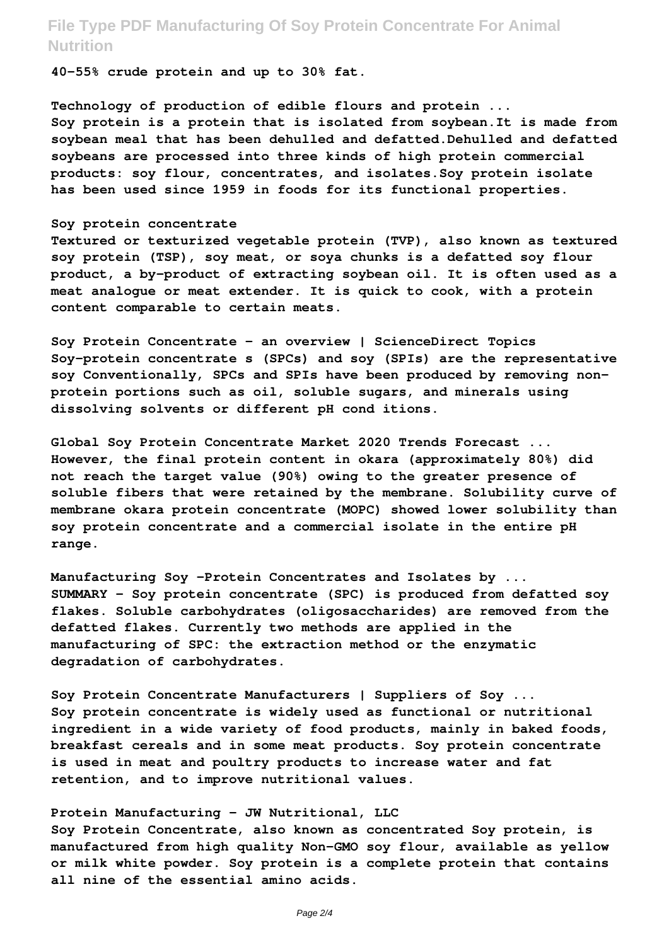**40-55% crude protein and up to 30% fat.**

**Technology of production of edible flours and protein ... Soy protein is a protein that is isolated from soybean.It is made from soybean meal that has been dehulled and defatted.Dehulled and defatted soybeans are processed into three kinds of high protein commercial products: soy flour, concentrates, and isolates.Soy protein isolate has been used since 1959 in foods for its functional properties.**

#### **Soy protein concentrate**

**Textured or texturized vegetable protein (TVP), also known as textured soy protein (TSP), soy meat, or soya chunks is a defatted soy flour product, a by-product of extracting soybean oil. It is often used as a meat analogue or meat extender. It is quick to cook, with a protein content comparable to certain meats.**

**Soy Protein Concentrate - an overview | ScienceDirect Topics Soy-protein concentrate s (SPCs) and soy (SPIs) are the representative soy Conventionally, SPCs and SPIs have been produced by removing nonprotein portions such as oil, soluble sugars, and minerals using dissolving solvents or different pH cond itions.**

**Global Soy Protein Concentrate Market 2020 Trends Forecast ... However, the final protein content in okara (approximately 80%) did not reach the target value (90%) owing to the greater presence of soluble fibers that were retained by the membrane. Solubility curve of membrane okara protein concentrate (MOPC) showed lower solubility than soy protein concentrate and a commercial isolate in the entire pH range.**

**Manufacturing Soy -Protein Concentrates and Isolates by ... SUMMARY – Soy protein concentrate (SPC) is produced from defatted soy flakes. Soluble carbohydrates (oligosaccharides) are removed from the defatted flakes. Currently two methods are applied in the manufacturing of SPC: the extraction method or the enzymatic degradation of carbohydrates.**

**Soy Protein Concentrate Manufacturers | Suppliers of Soy ... Soy protein concentrate is widely used as functional or nutritional ingredient in a wide variety of food products, mainly in baked foods, breakfast cereals and in some meat products. Soy protein concentrate is used in meat and poultry products to increase water and fat retention, and to improve nutritional values.**

#### **Protein Manufacturing - JW Nutritional, LLC**

**Soy Protein Concentrate, also known as concentrated Soy protein, is manufactured from high quality Non-GMO soy flour, available as yellow or milk white powder. Soy protein is a complete protein that contains all nine of the essential amino acids.**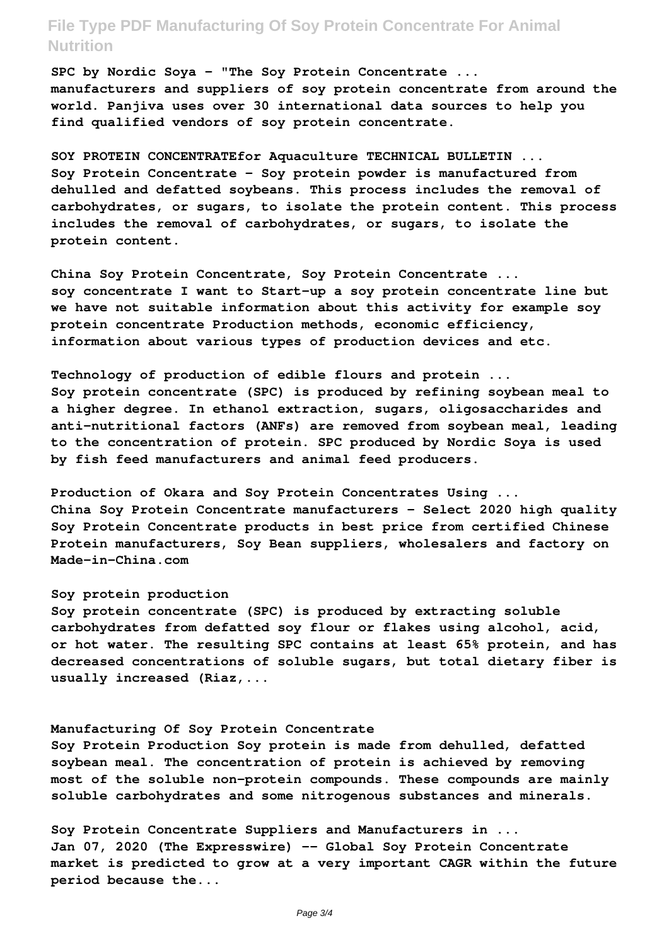**SPC by Nordic Soya - "The Soy Protein Concentrate ... manufacturers and suppliers of soy protein concentrate from around the world. Panjiva uses over 30 international data sources to help you find qualified vendors of soy protein concentrate.**

**SOY PROTEIN CONCENTRATEfor Aquaculture TECHNICAL BULLETIN ... Soy Protein Concentrate – Soy protein powder is manufactured from dehulled and defatted soybeans. This process includes the removal of carbohydrates, or sugars, to isolate the protein content. This process includes the removal of carbohydrates, or sugars, to isolate the protein content.**

**China Soy Protein Concentrate, Soy Protein Concentrate ... soy concentrate I want to Start-up a soy protein concentrate line but we have not suitable information about this activity for example soy protein concentrate Production methods, economic efficiency, information about various types of production devices and etc.**

**Technology of production of edible flours and protein ... Soy protein concentrate (SPC) is produced by refining soybean meal to a higher degree. In ethanol extraction, sugars, oligosaccharides and anti-nutritional factors (ANFs) are removed from soybean meal, leading to the concentration of protein. SPC produced by Nordic Soya is used by fish feed manufacturers and animal feed producers.**

**Production of Okara and Soy Protein Concentrates Using ... China Soy Protein Concentrate manufacturers - Select 2020 high quality Soy Protein Concentrate products in best price from certified Chinese Protein manufacturers, Soy Bean suppliers, wholesalers and factory on Made-in-China.com**

#### **Soy protein production**

**Soy protein concentrate (SPC) is produced by extracting soluble carbohydrates from defatted soy flour or flakes using alcohol, acid, or hot water. The resulting SPC contains at least 65% protein, and has decreased concentrations of soluble sugars, but total dietary fiber is usually increased (Riaz,...**

#### **Manufacturing Of Soy Protein Concentrate**

**Soy Protein Production Soy protein is made from dehulled, defatted soybean meal. The concentration of protein is achieved by removing most of the soluble non-protein compounds. These compounds are mainly soluble carbohydrates and some nitrogenous substances and minerals.**

**Soy Protein Concentrate Suppliers and Manufacturers in ... Jan 07, 2020 (The Expresswire) -- Global Soy Protein Concentrate market is predicted to grow at a very important CAGR within the future period because the...**